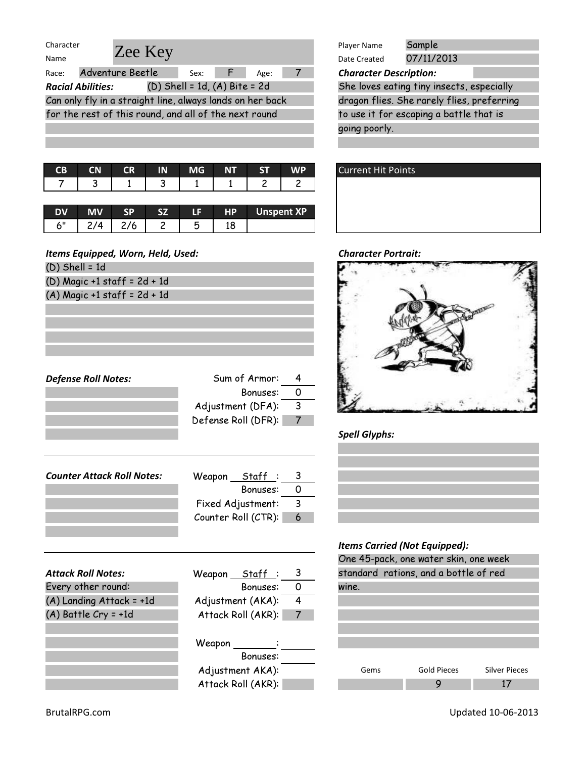| Character                         |                                                           |           |                |           |                                   |                |                            | Player Name                   | Sample                       |
|-----------------------------------|-----------------------------------------------------------|-----------|----------------|-----------|-----------------------------------|----------------|----------------------------|-------------------------------|------------------------------|
| Name                              |                                                           | Zee Key   |                |           |                                   |                |                            | Date Created                  | 07/11/2013                   |
| Race:                             | Adventure Beetle                                          |           |                | Sex:      |                                   | Age:           | 7                          | <b>Character Description:</b> |                              |
|                                   | <b>Racial Abilities:</b>                                  |           |                |           | $(D)$ Shell = 1d, $(A)$ Bite = 2d |                |                            |                               | She loves eating tiny insect |
|                                   | Can only fly in a straight line, always lands on her back |           |                |           |                                   |                |                            |                               | dragon flies. She rarely fli |
|                                   | for the rest of this round, and all of the next round     |           |                |           |                                   |                |                            |                               | to use it for escaping a bat |
|                                   |                                                           |           |                |           |                                   |                |                            | going poorly.                 |                              |
|                                   |                                                           |           |                |           |                                   |                |                            |                               |                              |
|                                   |                                                           |           |                |           |                                   |                |                            |                               |                              |
| <b>CB</b>                         | <b>CN</b>                                                 | <b>CR</b> | IN             | <b>MG</b> | <b>NT</b>                         | <b>ST</b>      | <b>WP</b>                  | <b>Current Hit Points</b>     |                              |
| 7                                 | 3                                                         | 1         | 3              | 1         | 1                                 | $\overline{c}$ | 2                          |                               |                              |
|                                   |                                                           |           |                |           |                                   |                |                            |                               |                              |
| <b>DV</b>                         | <b>MV</b>                                                 | <b>SP</b> | SZ.            | LF        | <b>HP</b>                         |                | <b>Unspent XP</b>          |                               |                              |
| 6"                                | 2/4                                                       | 2/6       | $\overline{c}$ | 5         | 18                                |                |                            |                               |                              |
|                                   |                                                           |           |                |           |                                   |                |                            |                               |                              |
| Items Equipped, Worn, Held, Used: |                                                           |           |                |           |                                   |                | <b>Character Portrait:</b> |                               |                              |
| $(D)$ Shell = 1d                  |                                                           |           |                |           |                                   |                |                            |                               |                              |
|                                   | $(D)$ Magic +1 staff = $2d + 1d$                          |           |                |           |                                   |                |                            |                               |                              |

Defense Roll Notes: Sum of Armor: 4

Counter Attack Roll Notes: Weapon Staff: 3

| Player Name                                | Sample     |  |  |  |  |
|--------------------------------------------|------------|--|--|--|--|
| Date Created                               | 07/11/2013 |  |  |  |  |
| <b>Character Description:</b>              |            |  |  |  |  |
| She loves eating tiny insects, especially  |            |  |  |  |  |
| dragon flies. She rarely flies, preferring |            |  |  |  |  |
| to use it for escaping a battle that is    |            |  |  |  |  |
| going poorly.                              |            |  |  |  |  |



#### **Character Portrait:**



### Spell Glyphs:

#### Items Carried (Not Equipped):

| One 45-pack, one water skin, one week |                    |                      |  |  |  |  |
|---------------------------------------|--------------------|----------------------|--|--|--|--|
| standard rations, and a bottle of red |                    |                      |  |  |  |  |
| wine.                                 |                    |                      |  |  |  |  |
|                                       |                    |                      |  |  |  |  |
|                                       |                    |                      |  |  |  |  |
|                                       |                    |                      |  |  |  |  |
|                                       |                    |                      |  |  |  |  |
|                                       |                    |                      |  |  |  |  |
| Gems                                  | <b>Gold Pieces</b> | <b>Silver Pieces</b> |  |  |  |  |
|                                       |                    |                      |  |  |  |  |

|                            | Counter Roll (CTR): | 6              |
|----------------------------|---------------------|----------------|
|                            |                     |                |
| <b>Attack Roll Notes:</b>  | Weapon ___ Staff _: | 3              |
| Every other round:         | Bonuses:            | O              |
| $(A)$ Landing Attack = +1d | Adjustment (AKA):   | 4              |
| $(A)$ Battle Cry = +1d     | Attack Roll (AKR):  | $\overline{7}$ |
|                            |                     |                |
|                            | Weapon              |                |
|                            | $D_{\text{anti-}a}$ |                |

(A) Magic +1 staff = 2d + 1d

| Attack Roll (AKR): |  |
|--------------------|--|
| Weapon             |  |
| Bonuses:           |  |
| Adjustment AKA):   |  |
| Attack Roll (AKR): |  |

Bonuses: 0

Bonuses: 0

Adjustment (DFA): 3 Defense Roll (DFR): 7

Fixed Adjustment: 3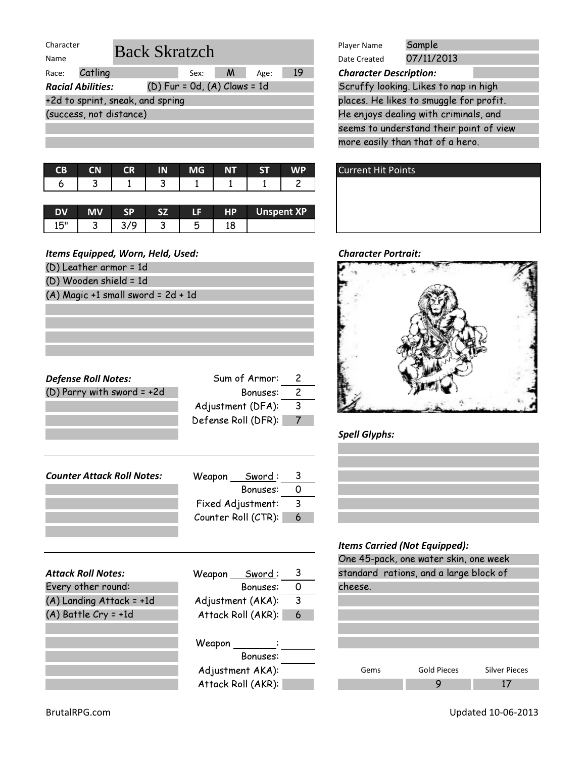| Character |                          |                                  |                                  |   |      |    | Player Name                   | Sample                                  |
|-----------|--------------------------|----------------------------------|----------------------------------|---|------|----|-------------------------------|-----------------------------------------|
| Name      |                          | <b>Back Skratzch</b>             |                                  |   |      |    | Date Created                  | 07/11/2013                              |
| Race:     | Catling                  |                                  | Sex:                             | M | Age: | 19 | <b>Character Description:</b> |                                         |
|           | <b>Racial Abilities:</b> |                                  | $(D)$ Fur = 0d, $(A)$ Claws = 1d |   |      |    |                               | Scruffy looking. Likes to nap in high   |
|           |                          | +2d to sprint, sneak, and spring |                                  |   |      |    |                               | places. He likes to smuggle for profit. |
|           | (success, not distance)  |                                  |                                  |   |      |    |                               | He enjoys dealing with criminals, and   |
|           |                          |                                  |                                  |   |      |    |                               | seems to understand their point of vie  |
|           |                          |                                  |                                  |   |      |    |                               | mana agaily than that af a hana         |

|  | CB CN CR IN MG NT ST WP |  |                               |
|--|-------------------------|--|-------------------------------|
|  |                         |  | 6   3   1   3   1   1   1   2 |
|  |                         |  |                               |

|           |   |  | . . | HD.      | <b>Unspent XP</b> |
|-----------|---|--|-----|----------|-------------------|
| 15"<br>⊥ບ | u |  | w   | 10<br>ΙO |                   |

| (D) Leather armor = 1d |  |  |
|------------------------|--|--|
|                        |  |  |

- (D) Wooden shield = 1d
- $(A)$  Magic +1 small sword = 2d + 1d

|                                  | Sample<br>Player Name                   |
|----------------------------------|-----------------------------------------|
| : Skratzch                       | 07/11/2013<br>Date Created              |
| 19<br>M<br>Sex:<br>Age:          | <b>Character Description:</b>           |
| $(D)$ Fur = 0d, $(A)$ Claws = 1d | Scruffy looking. Likes to nap in high   |
| ıd spring                        | places. He likes to smuggle for profit. |
|                                  | He enjoys dealing with criminals, and   |

seems to understand their point of view more easily than that of a hero.





#### Spell Glyphs:

### Items Carried (Not Equipped):

| One 45-pack, one water skin, one week  |                    |                      |  |  |  |  |
|----------------------------------------|--------------------|----------------------|--|--|--|--|
| standard rations, and a large block of |                    |                      |  |  |  |  |
| cheese.                                |                    |                      |  |  |  |  |
|                                        |                    |                      |  |  |  |  |
|                                        |                    |                      |  |  |  |  |
|                                        |                    |                      |  |  |  |  |
|                                        |                    |                      |  |  |  |  |
|                                        |                    |                      |  |  |  |  |
|                                        |                    |                      |  |  |  |  |
| Gems                                   | <b>Gold Pieces</b> | <b>Silver Pieces</b> |  |  |  |  |
|                                        |                    |                      |  |  |  |  |

| <b>Counter Attack Roll Notes:</b><br>Weapon Sword:<br>- റ<br>Bonuses:<br>3<br>Fixed Adjustment:<br>Counter Roll (CTR):<br>6 | <b>Attack Roll Notes:</b> | Weapon Sword: |  |
|-----------------------------------------------------------------------------------------------------------------------------|---------------------------|---------------|--|
|                                                                                                                             |                           |               |  |
|                                                                                                                             |                           |               |  |
|                                                                                                                             |                           |               |  |
|                                                                                                                             |                           |               |  |
|                                                                                                                             |                           |               |  |

Defense Roll Notes: Sum of Armor: 2  $(D)$  Parry with sword = +2d Bonuses: 2

| Every other round:       |  |
|--------------------------|--|
| (A) Landing Attack = +1d |  |

| <b>Attack Roll Notes:</b> | <u>  Sword</u> :<br>Weapon | 3  | standar |
|---------------------------|----------------------------|----|---------|
| Every other round:        | Bonuses:                   |    | cheese. |
| (A) Landing Attack = +1d  | Adjustment (AKA):          | 3  |         |
| $(A)$ Battle Cry = +1d    | Attack Roll (AKR):         | -6 |         |
|                           |                            |    |         |
|                           | Weapon                     |    |         |
|                           | Bonuses:                   |    |         |
|                           | Adjustment AKA):           |    | Ge      |

Attack Roll (AKR):

Adjustment  $(DFA):$  3 Defense Roll (DFR): 7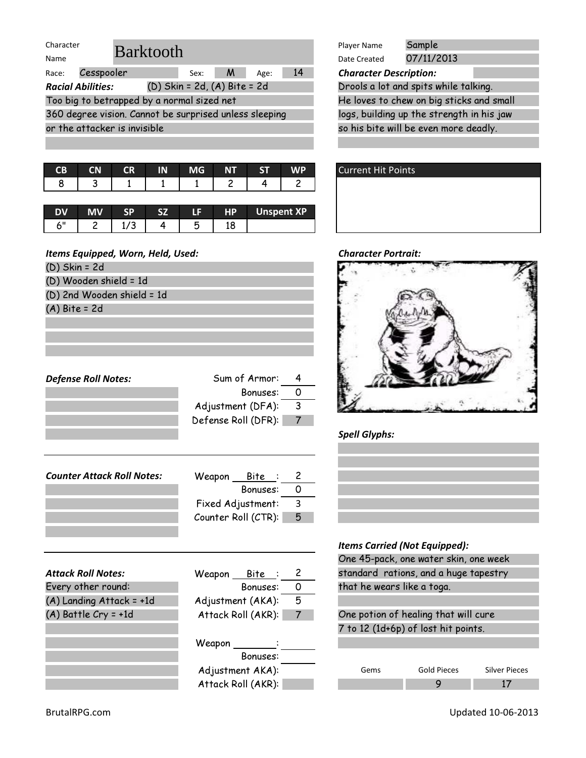| Character                                                    | <b>Barktooth</b>             |    |      |              |   |      | Player Name                               | Sample                                           |                                       |  |
|--------------------------------------------------------------|------------------------------|----|------|--------------|---|------|-------------------------------------------|--------------------------------------------------|---------------------------------------|--|
| Name                                                         |                              |    |      |              |   |      |                                           | Date Created                                     | 07/11/2013                            |  |
| Race:                                                        | Cesspooler                   |    |      | Sex:         | M | Age: | 14                                        | <b>Character Description:</b>                    |                                       |  |
| $(D)$ Skin = 2d, $(A)$ Bite = 2d<br><b>Racial Abilities:</b> |                              |    |      |              |   |      |                                           | Drools a lot and spits while talking.            |                                       |  |
| Too big to betrapped by a normal sized net                   |                              |    |      |              |   |      | He loves to chew on big sticks and small  |                                                  |                                       |  |
| 360 degree vision. Cannot be surprised unless sleeping       |                              |    |      |              |   |      | logs, building up the strength in his jaw |                                                  |                                       |  |
|                                                              | or the attacker is invisible |    |      |              |   |      |                                           |                                                  | so his bite will be even more deadly. |  |
|                                                              |                              |    |      |              |   |      |                                           |                                                  |                                       |  |
|                                                              |                              |    |      |              |   |      |                                           |                                                  |                                       |  |
|                                                              | ---                          | -- | n. n | $\mathbf{A}$ |   |      |                                           | $\sim$ $\sim$ $\sim$ $\sim$ $\sim$ $\sim$ $\sim$ |                                       |  |

| LD.      | UМ | τĸ | шч | <b>IVIG</b> | IN I | ы | VV M       |  |
|----------|----|----|----|-------------|------|---|------------|--|
| $\Omega$ |    |    |    |             |      |   |            |  |
|          |    |    |    |             |      |   |            |  |
|          |    |    |    |             | HP.  |   | Unsnent XP |  |

|   |      | C7 |     | HP. | <b>Unspent XP</b> |
|---|------|----|-----|-----|-------------------|
| ∽ | 17 J |    | . . |     |                   |

| Items Equipped, Worn, Held, Used: |                     |   |
|-----------------------------------|---------------------|---|
| $(D)$ Skin = 2d                   |                     |   |
| (D) Wooden shield = 1d            |                     |   |
| (D) 2nd Wooden shield = 1d        |                     |   |
| $(A)$ Bite = 2d                   |                     |   |
|                                   |                     |   |
|                                   |                     |   |
|                                   |                     |   |
|                                   |                     |   |
| <b>Defense Roll Notes:</b>        | Sum of Armor:       | 4 |
|                                   | Bonuses:            | 0 |
|                                   | Adjustment (DFA):   | 3 |
|                                   | Defense Roll (DFR): |   |
|                                   |                     |   |
|                                   |                     |   |
|                                   |                     |   |
| <b>Counter Attack Roll Notes:</b> | Weapon <u>Bite</u>  | 2 |
|                                   | Bonuses:            | Ω |

Fixed Adjustment: 3 Counter Roll (CTR): 5

|                            |                        | <i><b>Items Carried (Not Equipped):</b></i> |
|----------------------------|------------------------|---------------------------------------------|
|                            |                        | One 45-pack, one water skin, one w          |
| <b>Attack Roll Notes:</b>  | Weapon Bite : 2        | standard rations, and a huge tapes          |
| Every other round:         | Bonuses:<br>- 0        | that he wears like a toga.                  |
| $(A)$ Landing Attack = +1d | 5<br>Adjustment (AKA): |                                             |
| $(A)$ Battle Cry = +1d     | Attack Roll (AKR):     | One potion of healing that will cure        |
|                            |                        | 7 to 12 (1d+6p) of lost hit points.         |
|                            | Weapon :               |                                             |
|                            | Bonuses:               |                                             |
|                            | Adjustment AKA):       | Sil<br><b>Gold Pieces</b><br>Gems           |
|                            | Attack Roll (AKR):     | 9                                           |
|                            |                        |                                             |

|                                  | Sample<br>Player Name                     |  |  |  |
|----------------------------------|-------------------------------------------|--|--|--|
| tooth                            | 07/11/2013<br>Date Created                |  |  |  |
| 14<br>Sex:<br>M<br>Age:          | <b>Character Description:</b>             |  |  |  |
| (D) Skin = 2d, (A) Bite = 2d     | Drools a lot and spits while talking.     |  |  |  |
| y a normal sized net             | He loves to chew on big sticks and small  |  |  |  |
| not be surprised unless sleeping | logs, building up the strength in his jaw |  |  |  |
| ible                             | so his bite will be even more deadly.     |  |  |  |
|                                  |                                           |  |  |  |



### **Character Portrait:**



# Spell Glyphs:



| items carriea (ivot equippea):              |  |  |  |  |  |  |  |  |  |
|---------------------------------------------|--|--|--|--|--|--|--|--|--|
| One 45-pack, one water skin, one week       |  |  |  |  |  |  |  |  |  |
| standard rations, and a huge tapestry       |  |  |  |  |  |  |  |  |  |
| that he wears like a toga.                  |  |  |  |  |  |  |  |  |  |
|                                             |  |  |  |  |  |  |  |  |  |
| One potion of healing that will cure        |  |  |  |  |  |  |  |  |  |
| 7 to 12 (1d+6p) of lost hit points.         |  |  |  |  |  |  |  |  |  |
|                                             |  |  |  |  |  |  |  |  |  |
|                                             |  |  |  |  |  |  |  |  |  |
| Gold Pieces<br><b>Silver Pieces</b><br>Gems |  |  |  |  |  |  |  |  |  |
|                                             |  |  |  |  |  |  |  |  |  |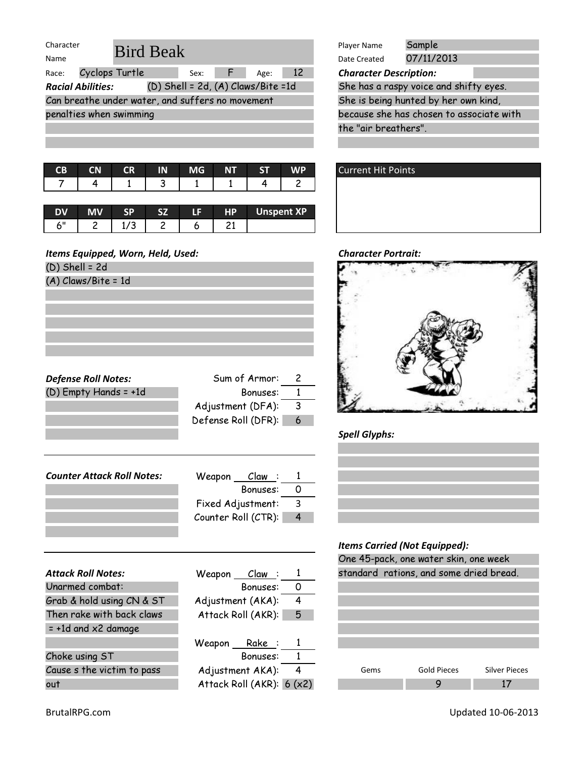| Character                |                                                  |                                        |      |    | Player Name                   | Sample                                   |
|--------------------------|--------------------------------------------------|----------------------------------------|------|----|-------------------------------|------------------------------------------|
| Name                     | <b>Bird Beak</b>                                 |                                        |      |    | Date Created                  | 07/11/2013                               |
| Race:                    | Cyclops Turtle                                   | Sex:<br>F.                             | Age: | 12 | <b>Character Description:</b> |                                          |
| <b>Racial Abilities:</b> |                                                  | $(D)$ Shell = 2d, $(A)$ Claws/Bite =1d |      |    |                               | She has a raspy voice and shifty eyes.   |
|                          | Can breathe under water, and suffers no movement |                                        |      |    |                               | She is being hunted by her own kind,     |
| penalties when swimming  |                                                  |                                        |      |    |                               | because she has chosen to associate with |
|                          |                                                  |                                        |      |    | the "air breathers".          |                                          |
|                          |                                                  |                                        |      |    |                               |                                          |

|  |  |  | CB CN CR IN MG NT ST WP       |
|--|--|--|-------------------------------|
|  |  |  | 7   4   1   3   1   1   4   2 |
|  |  |  |                               |

| <b>DV</b> | ςD                               | 57 | LE. | <b>HP</b> | <b>Unspent XP</b> |
|-----------|----------------------------------|----|-----|-----------|-------------------|
| zπ        | $\overline{\phantom{a}}$<br>ں ہد |    |     | ∼∸        |                   |

(D) Shell = 2d

(A) Claws/Bite = 1d

| <b>Defense Roll Notes:</b> | Sum of Armor:       | 2 |
|----------------------------|---------------------|---|
| $(D)$ Empty Hands = +1d    | Bonuses:            |   |
|                            | Adjustment (DFA):   | 3 |
|                            | Defense Roll (DFR): |   |

| <b>Counter Attack Roll Notes:</b> | Weapon Claw:        |   |
|-----------------------------------|---------------------|---|
|                                   | Bonuses:            |   |
|                                   | Fixed Adjustment:   | 3 |
|                                   | Counter Roll (CTR): |   |
|                                   |                     |   |

|                               |                                    | One is pack, one ward shin, one ween               |
|-------------------------------|------------------------------------|----------------------------------------------------|
| <b>Attack Roll Notes:</b>     | Weapon<br>C <u>law</u> : 1         | standard rations, and some dried bread.            |
| Unarmed combat:               | 0<br>Bonuses:                      |                                                    |
| Grab & hold using CN & ST     | Adjustment (AKA):<br>4             |                                                    |
| Then rake with back claws     | Attack Roll (AKR): 5               |                                                    |
| $= +1d$ and $\times 2$ damage |                                    |                                                    |
|                               | Weapon Rake: 1                     |                                                    |
| Choke using ST                | Bonuses:                           |                                                    |
| Cause s the victim to pass    | $\overline{4}$<br>Adjustment AKA): | <b>Gold Pieces</b><br><b>Silver Pieces</b><br>Gems |
| out                           | Attack Roll (AKR): $6 (x2)$        | 9<br>17                                            |

| Beak                                 | Sample<br>Player Name                    |
|--------------------------------------|------------------------------------------|
|                                      | 07/11/2013<br>Date Created               |
| -12<br>Sex: $F$<br>Age:              | <b>Character Description:</b>            |
| (D) Shell = 2d, $(A)$ Claws/Bite =1d | She has a raspy voice and shifty eyes.   |
| er, and suffers no movement          | She is being hunted by her own kind,     |
| ıq                                   | because she has chosen to associate with |
|                                      | the "air breathers".                     |
|                                      |                                          |





# Spell Glyphs:



|      | One 45-pack, one water skin, one week   |                      |
|------|-----------------------------------------|----------------------|
|      | standard rations, and some dried bread. |                      |
|      |                                         |                      |
|      |                                         |                      |
|      |                                         |                      |
|      |                                         |                      |
|      |                                         |                      |
|      |                                         |                      |
| Gems | Gold Pieces                             | <b>Silver Pieces</b> |
|      |                                         |                      |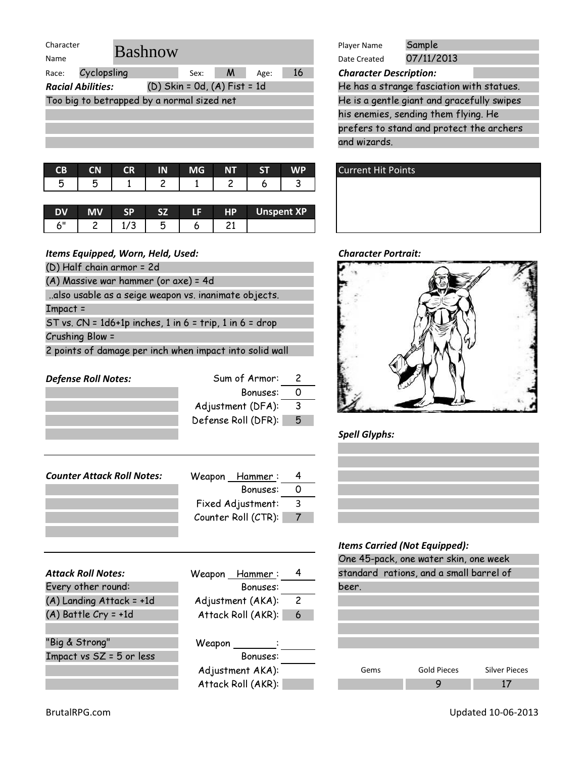| Character                                                                               |           |      |    | Player Name                   | Sample     |
|-----------------------------------------------------------------------------------------|-----------|------|----|-------------------------------|------------|
| <b>Bashnow</b><br>Name                                                                  |           |      |    | Date Created                  | 07/11/2013 |
| Cyclopsling<br>Race:                                                                    | M<br>Sex: | Age: | 16 | <b>Character Description:</b> |            |
| (D) Skin = 0d, (A) Fist = 1d<br>He has a strange fasciation<br><b>Racial Abilities:</b> |           |      |    |                               |            |
| Too big to betrapped by a normal sized net                                              |           |      |    | He is a gentle giant and gro  |            |
|                                                                                         |           |      |    | his enemies, sending them     |            |
|                                                                                         |           |      |    | prefers to stand and prote    |            |
|                                                                                         |           |      |    | and wizards.                  |            |
|                                                                                         |           |      |    |                               |            |

| CB CN CR IN MG NT ST WP       |  |  |  |
|-------------------------------|--|--|--|
| 5   5   1   2   1   2   6   3 |  |  |  |
|                               |  |  |  |

|  | ςD | C7 | TE. | HP <sub></sub> | Unspent XP |
|--|----|----|-----|----------------|------------|
|  | پ  |    |     |                |            |

- (D) Half chain armor = 2d
- (A) Massive war hammer (or axe) = 4d

..also usable as a seige weapon vs. inanimate objects.

Impact =

ST vs.  $CN = 1d6+1p$  inches, 1 in  $6 = \text{trip}$ , 1 in  $6 = \text{drop}$ 

Crushing Blow =

2 points of damage per inch when impact into solid wall

| Sum of Armor:       | Z               |
|---------------------|-----------------|
| Bonuses:            |                 |
| Adjustment (DFA):   | 3               |
| Defense Roll (DFR): | $5\overline{)}$ |
|                     |                 |
|                     |                 |
|                     |                 |

| <b>Counter Attack Roll Notes:</b> | Weapon Hammer:      |    |
|-----------------------------------|---------------------|----|
|                                   | Bonuses:            |    |
|                                   | Fixed Adjustment:   | -3 |
|                                   | Counter Roll (CTR): |    |
|                                   |                     |    |

|                            |                    |                | ־ שווט |
|----------------------------|--------------------|----------------|--------|
| <b>Attack Roll Notes:</b>  | Weapon Hammer:     | 4              | stano  |
| Every other round:         | Bonuses:           |                | beer.  |
| (A) Landing Attack = +1d   | Adjustment (AKA):  | $\overline{c}$ |        |
| $(A)$ Battle Cry = +1d     | Attack Roll (AKR): | 6              |        |
|                            |                    |                |        |
| "Big & Strong"             | Weapon             |                |        |
| Impact vs $SZ = 5$ or less | Bonuses:           |                |        |
|                            | Adjustment AKA):   |                |        |
|                            | Attack Roll (AKR): |                |        |

| Chausshop Doorpintion. |            |
|------------------------|------------|
| Date Created           | 07/11/2013 |
| Player Name            | Sample     |

his enemies, sending them flying. He prefers to stand and protect the archers and wizards. He has a strange fasciation with statues.  $T$  be is a gentle giant and gracefully swipes





Spell Glyphs:



|       | One 45-pack, one water skin, one week   |                      |  |  |  |  |  |  |  |  |
|-------|-----------------------------------------|----------------------|--|--|--|--|--|--|--|--|
|       | standard rations, and a small barrel of |                      |  |  |  |  |  |  |  |  |
| beer. |                                         |                      |  |  |  |  |  |  |  |  |
|       |                                         |                      |  |  |  |  |  |  |  |  |
|       |                                         |                      |  |  |  |  |  |  |  |  |
|       |                                         |                      |  |  |  |  |  |  |  |  |
|       |                                         |                      |  |  |  |  |  |  |  |  |
|       |                                         |                      |  |  |  |  |  |  |  |  |
|       |                                         |                      |  |  |  |  |  |  |  |  |
| Gems  | <b>Gold Pieces</b>                      | <b>Silver Pieces</b> |  |  |  |  |  |  |  |  |
|       |                                         |                      |  |  |  |  |  |  |  |  |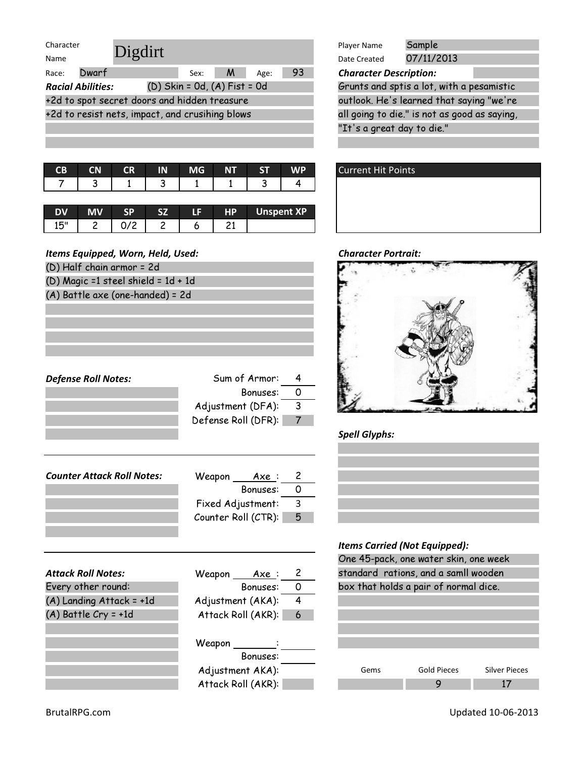| Character |                          |                                                 |                                  |   |      |    | Player Name                   | Sample                                       |  |
|-----------|--------------------------|-------------------------------------------------|----------------------------------|---|------|----|-------------------------------|----------------------------------------------|--|
| Name      |                          | Digdirt                                         |                                  |   |      |    | Date Created                  | 07/11/2013                                   |  |
| Race:     | Dwarf                    |                                                 | Sex:                             | M | Age: | 93 | <b>Character Description:</b> |                                              |  |
|           | <b>Racial Abilities:</b> |                                                 | $(D)$ Skin = Od, $(A)$ Fist = Od |   |      |    |                               | Grunts and sptis a lot, with a pesamistic    |  |
|           |                          | +2d to spot secret doors and hidden treasure    |                                  |   |      |    |                               | outlook. He's learned that saying "we're     |  |
|           |                          | +2d to resist nets, impact, and crusihing blows |                                  |   |      |    |                               | all going to die." is not as good as saying, |  |
|           |                          |                                                 |                                  |   |      |    | "It's a great day to die."    |                                              |  |

| CВ | <b>CN</b> | <b>CR</b> | IN | <b>MG</b> | NT |  | <b>Current Hit Points</b> |
|----|-----------|-----------|----|-----------|----|--|---------------------------|
|    |           |           |    |           |    |  |                           |

| DV  | <b>MV</b> |   | IΕ | HР | <b>Unspent XP</b> |
|-----|-----------|---|----|----|-------------------|
| 15" | -         | ∽ |    |    |                   |

| (D) Half chain armor = 2d<br>(D) Magic =1 steel shield = $1d + 1d$<br>(A) Battle axe (one-handed) = 2d |
|--------------------------------------------------------------------------------------------------------|
|                                                                                                        |
|                                                                                                        |
|                                                                                                        |
|                                                                                                        |
|                                                                                                        |
|                                                                                                        |
|                                                                                                        |
|                                                                                                        |
| Sum of Armor:<br><b>Defense Roll Notes:</b><br>4                                                       |
| 0<br>Bonuses:                                                                                          |
| 3<br>Adjustment (DFA):                                                                                 |
| Defense Roll (DFR):<br>7                                                                               |
|                                                                                                        |
|                                                                                                        |
|                                                                                                        |

| <b>Counter Attack Roll Notes:</b> | Weapon<br>Axe :     |    |
|-----------------------------------|---------------------|----|
|                                   | Bonuses:            |    |
|                                   | Fixed Adjustment:   | -3 |
|                                   | Counter Roll (CTR): | -5 |
|                                   |                     |    |

|                            |                          |                |      | One 40-pack, one water skin, one we   |       |
|----------------------------|--------------------------|----------------|------|---------------------------------------|-------|
| <b>Attack Roll Notes:</b>  | Weapon<br><u>Axe</u> : 2 |                |      | standard rations, and a samll woode   |       |
| Every other round:         | Bonuses:                 | $\overline{O}$ |      | box that holds a pair of normal dice. |       |
| $(A)$ Landing Attack = +1d | Adjustment (AKA):        | 4              |      |                                       |       |
| $(A)$ Battle Cry = +1d     | Attack Roll (AKR): 6     |                |      |                                       |       |
|                            | Weapon ________:         |                |      |                                       |       |
|                            | Bonuses:                 |                |      |                                       |       |
|                            | Adjustment AKA):         |                | Gems | <b>Gold Pieces</b>                    | Silve |
|                            | Attack Roll (AKR):       |                |      | 9                                     |       |

| irt                            | Sample<br>Player Name                        |
|--------------------------------|----------------------------------------------|
|                                | 07/11/2013<br>Date Created                   |
| 93<br><b>M</b><br>Sex:<br>Age: | <b>Character Description:</b>                |
| (D) Skin = 0d, (A) Fist = 0d   | Grunts and sptis a lot, with a pesamistic    |
| rs and hidden treasure         | outlook. He's learned that saying "we're     |
| act, and crusihing blows       | all going to die." is not as good as saying, |
|                                | "It's a great day to die."                   |
|                                |                                              |

| <b>Current Hit Points</b> |  |
|---------------------------|--|
|                           |  |
|                           |  |
|                           |  |

#### **Character Portrait:**



# Spell Glyphs:



| One 45-pack, one water skin, one week |                                       |                      |  |  |  |  |  |  |  |  |
|---------------------------------------|---------------------------------------|----------------------|--|--|--|--|--|--|--|--|
|                                       | standard rations, and a samll wooden  |                      |  |  |  |  |  |  |  |  |
|                                       | box that holds a pair of normal dice. |                      |  |  |  |  |  |  |  |  |
|                                       |                                       |                      |  |  |  |  |  |  |  |  |
|                                       |                                       |                      |  |  |  |  |  |  |  |  |
|                                       |                                       |                      |  |  |  |  |  |  |  |  |
|                                       |                                       |                      |  |  |  |  |  |  |  |  |
|                                       |                                       |                      |  |  |  |  |  |  |  |  |
|                                       |                                       |                      |  |  |  |  |  |  |  |  |
| Gems                                  | Gold Pieces                           | <b>Silver Pieces</b> |  |  |  |  |  |  |  |  |
|                                       |                                       |                      |  |  |  |  |  |  |  |  |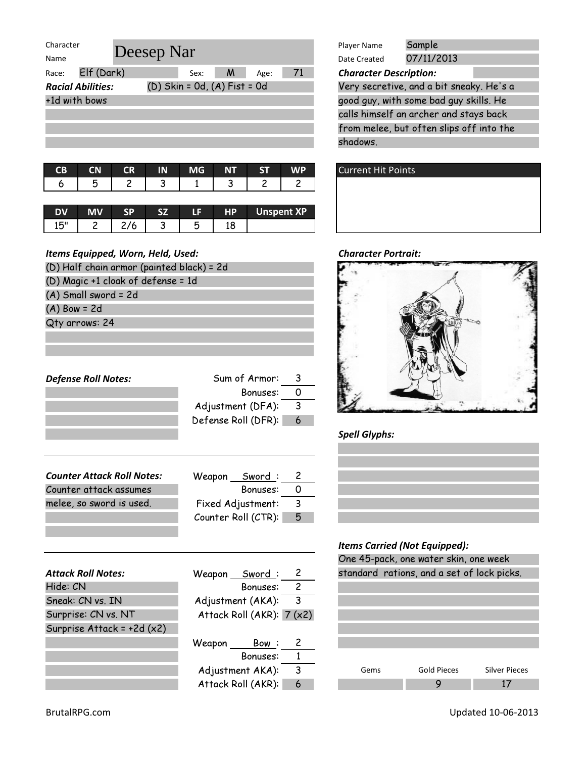| Character<br>Deesep Nar  |  |                                  |   |      |    | Player Name                   | Sample     |
|--------------------------|--|----------------------------------|---|------|----|-------------------------------|------------|
| Name                     |  |                                  |   |      |    | Date Created                  | 07/11/2013 |
| Elf (Dark)<br>Race:      |  | Sex:                             | M | Age: | 71 | <b>Character Description:</b> |            |
| <b>Racial Abilities:</b> |  | $(D)$ Skin = 0d, $(A)$ Fist = 0d |   |      |    | Very secretive, and a bit sr  |            |
| +1d with bows            |  |                                  |   |      |    | good guy, with some bad gu    |            |
|                          |  |                                  |   |      |    | calls himself an archer and   |            |
|                          |  |                                  |   |      |    | from melee, but often slips   |            |
|                          |  |                                  |   |      |    | shadows.                      |            |

|  | CB CN CR IN MG NT ST WP |  |                               |
|--|-------------------------|--|-------------------------------|
|  |                         |  | 6   5   2   3   1   3   2   2 |
|  |                         |  |                               |

| <b>DV</b> | MV | क |        | ٦n | HP | <b>Unspent XP</b> |
|-----------|----|---|--------|----|----|-------------------|
| 15"       |    |   | ٠<br>w | ٮ  |    |                   |

| <u>Items Lyuippeu, Worn, Helu, Oseu.</u>  |                     |                |  |  |  |  |
|-------------------------------------------|---------------------|----------------|--|--|--|--|
| (D) Half chain armor (painted black) = 2d |                     |                |  |  |  |  |
| (D) Magic +1 cloak of defense = 1d        |                     |                |  |  |  |  |
| (A) Small sword = 2d                      |                     |                |  |  |  |  |
| $(A)$ Bow = 2d                            |                     |                |  |  |  |  |
| Qty arrows: 24                            |                     |                |  |  |  |  |
|                                           |                     |                |  |  |  |  |
|                                           |                     |                |  |  |  |  |
|                                           |                     |                |  |  |  |  |
| <b>Defense Roll Notes:</b>                | Sum of Armor:       | 3              |  |  |  |  |
|                                           | Bonuses:            | 0              |  |  |  |  |
|                                           | Adjustment (DFA):   | 3              |  |  |  |  |
|                                           | Defense Roll (DFR): | 6              |  |  |  |  |
|                                           |                     |                |  |  |  |  |
|                                           |                     |                |  |  |  |  |
|                                           |                     |                |  |  |  |  |
| <b>Counter Attack Roll Notes:</b>         | Weapon Sword:       | 2              |  |  |  |  |
| Counter attack assumes                    | Bonuses:            | 0              |  |  |  |  |
| melee, so sword is used.                  | Fixed Adjustment:   | 3              |  |  |  |  |
|                                           | Counter Roll (CTR): | 5              |  |  |  |  |
|                                           |                     |                |  |  |  |  |
|                                           |                     |                |  |  |  |  |
|                                           |                     |                |  |  |  |  |
| <b>Attack Roll Notes:</b>                 | Weapon Sword:       | 2              |  |  |  |  |
| Hide: CN                                  | Bonuses:            | $\overline{c}$ |  |  |  |  |
| Sneak: CN vs. IN                          | Adjustment (AKA):   | 3              |  |  |  |  |

Attack Roll (AKR):  $7 (x2)$ 

Bonuses: 1

Weapon Bow: 2

Adjustment  $AKA$ ):  $\overline{3}$ Attack Roll (AKR): 6

| Chaunatan Docenintiano |            |  |
|------------------------|------------|--|
| Date Created           | 07/11/2013 |  |
| Player Name            | Sample     |  |

calls himself an archer and stays back from melee, but often slips off into the shadows. Very secretive, and a bit sneaky. He's a  $\blacksquare$  agood guy, with some bad guy skills. He





Spell Glyphs:

### Items Carried (Not Equipped):

| One 45-pack, one water skin, one week |                                            |                      |  |
|---------------------------------------|--------------------------------------------|----------------------|--|
|                                       | standard rations, and a set of lock picks. |                      |  |
|                                       |                                            |                      |  |
|                                       |                                            |                      |  |
|                                       |                                            |                      |  |
|                                       |                                            |                      |  |
|                                       |                                            |                      |  |
|                                       |                                            |                      |  |
| Gems                                  | Gold Pieces                                | <b>Silver Pieces</b> |  |
|                                       |                                            |                      |  |

Surprise Attack = +2d (x2)

Surprise: CN vs. NT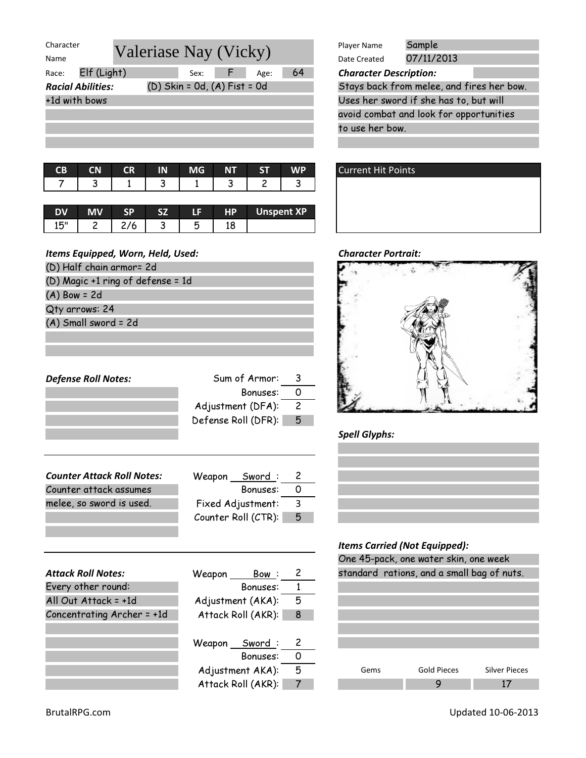| Character                |                                  | Player Name                         | Sample                                 |
|--------------------------|----------------------------------|-------------------------------------|----------------------------------------|
| Name                     | Valeriase Nay (Vicky)            | Date Created                        | 07/11/2013                             |
| Elf (Light)<br>Race:     | Age:<br>Sex:                     | 64<br><b>Character Description:</b> |                                        |
| <b>Racial Abilities:</b> | $(D)$ Skin = 0d, $(A)$ Fist = 0d |                                     | Stays back from melee, and fires her   |
| +1d with bows            |                                  |                                     | Uses her sword if she has to, but will |
|                          |                                  |                                     | avoid combat and look for opportunitio |
|                          |                                  | to use her bow.                     |                                        |

|  |  |  | CB CN CR IN MG NT ST |  |
|--|--|--|----------------------|--|
|  |  |  |                      |  |

|          | мv |        | 15 | <b>HP</b> | <b>Unspent XP</b> |
|----------|----|--------|----|-----------|-------------------|
| 15"<br>∸ |    | ۰<br>◡ |    |           |                   |

| (D) Half chain armor= 2d          |                   |                |
|-----------------------------------|-------------------|----------------|
| (D) Magic +1 ring of defense = 1d |                   |                |
| $(A)$ Bow = 2d                    |                   |                |
| Qty arrows: 24                    |                   |                |
| (A) Small sword = 2d              |                   |                |
|                                   |                   |                |
|                                   |                   |                |
|                                   |                   |                |
| <b>Defense Roll Notes:</b>        | Sum of Armor:     | 3              |
|                                   | Bonuses:          | $\Omega$       |
|                                   | Adjustment (DFA): | $\overline{c}$ |
|                                   |                   |                |

| Sword:<br>Weapon    |    |
|---------------------|----|
| Bonuses:            |    |
| Fixed Adjustment:   | 3  |
| Counter Roll (CTR): | -5 |
|                     |    |

Defense Roll (DFR): 5

| <b>Attack Roll Notes:</b>  | Weapon | <u> Bow :</u>      | 2 |
|----------------------------|--------|--------------------|---|
| Every other round:         |        | Bonuses:           |   |
| All Out Attack = +1d       |        | Adjustment (AKA):  | 5 |
| Concentrating Archer = +1d |        | Attack Roll (AKR): | 8 |
|                            |        |                    |   |
|                            |        | Weapon Sword:      | 2 |
|                            |        | Bonuses:           | Ω |
|                            |        | Adjustment AKA):   | 5 |
|                            |        | Attack Roll (AKR): |   |

|                              | Sample<br>Player Name                     |
|------------------------------|-------------------------------------------|
| riase Nay (Vicky)            | 07/11/2013<br>Date Created                |
| 64<br>Sex: $F$<br>Age:       | <b>Character Description:</b>             |
| (D) Skin = 0d, (A) Fist = 0d | Stays back from melee, and fires her bow. |
|                              | Uses her sword if she has to, but will    |
|                              | avoid combat and look for opportunities   |
|                              | to use her bow.                           |
|                              |                                           |





# Spell Glyphs:



| One 45-pack, one water skin, one week      |  |  |             |  |                      |  |
|--------------------------------------------|--|--|-------------|--|----------------------|--|
| standard rations, and a small bag of nuts. |  |  |             |  |                      |  |
|                                            |  |  |             |  |                      |  |
|                                            |  |  |             |  |                      |  |
|                                            |  |  |             |  |                      |  |
|                                            |  |  |             |  |                      |  |
|                                            |  |  |             |  |                      |  |
|                                            |  |  |             |  |                      |  |
| Gems                                       |  |  | Gold Pieces |  | <b>Silver Pieces</b> |  |
|                                            |  |  |             |  |                      |  |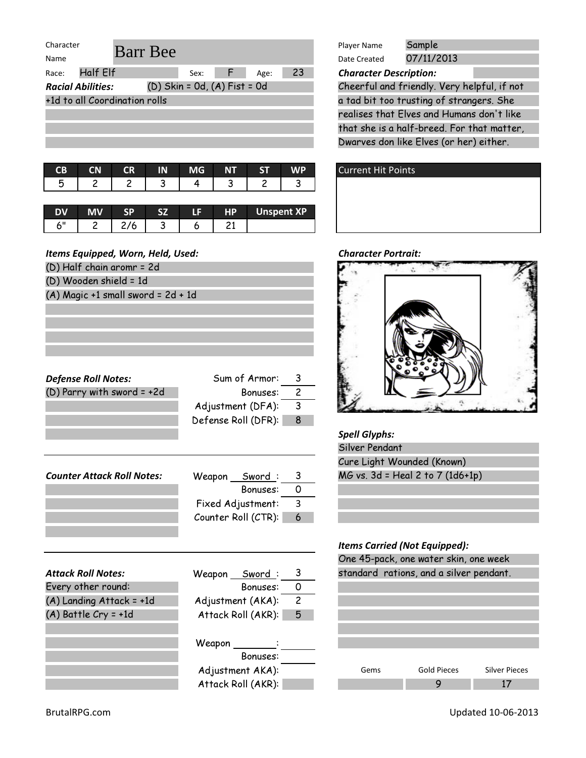| Character |                               |                                  |      |    |      |    | Player Name                   | Sample     |
|-----------|-------------------------------|----------------------------------|------|----|------|----|-------------------------------|------------|
| Name      |                               | <b>Barr</b> Bee                  |      |    |      |    | Date Created                  | 07/11/2013 |
| Race:     | Half Elf                      |                                  | Sex: | F. | Age: | 23 | <b>Character Description:</b> |            |
|           | <b>Racial Abilities:</b>      | $(D)$ Skin = Od, $(A)$ Fist = Od |      |    |      |    | Cheerful and friendly. Very   |            |
|           | +1d to all Coordination rolls |                                  |      |    |      |    | a tad bit too trusting of st  |            |
|           |                               |                                  |      |    |      |    | realises that Elves and Hur   |            |
|           |                               |                                  |      |    |      |    | that she is a half-breed. Fo  |            |

| 5 <sup>2</sup><br>$\overline{3}$ $\overline{1}$<br>$\begin{array}{ccc} \end{array}$ |  |  | CB CN CR IN MG NT ST | WP |
|-------------------------------------------------------------------------------------|--|--|----------------------|----|
|                                                                                     |  |  |                      |    |

| עם | <b>MV</b> | 97 | 48 S | <b>HP</b> | <b>Unspent XP</b> |
|----|-----------|----|------|-----------|-------------------|
| ۷I |           |    |      |           |                   |

|  | (D) Half chain aromr = 2d |  |
|--|---------------------------|--|
|  |                           |  |

- (D) Wooden shield = 1d
- (A) Magic +1 small sword = 2d + 1d

| <b>Defense Roll Notes:</b> | Sum of Armor:       | 3 |
|----------------------------|---------------------|---|
| (D) Parry with sword = +2d | Bonuses:            | 2 |
|                            | Adjustment (DFA):   | 3 |
|                            | Defense Roll (DFR): | 8 |
|                            |                     |   |
|                            |                     |   |
|                            |                     |   |
| Counter Attack Roll Notes: | Sword:<br>Weapon    | 3 |
|                            | Bonuses:            |   |

Fixed Adjustment: 3 Counter Roll (CTR): 6

| <b>Attack Roll Notes:</b> | Weapon Sword:      | 3             |
|---------------------------|--------------------|---------------|
| Every other round:        | Bonuses:           | 0             |
| (A) Landing Attack = +1d  | Adjustment (AKA):  | $\mathcal{P}$ |
| $(A)$ Battle Cry = +1d    | Attack Roll (AKR): | 5             |
|                           |                    |               |
|                           | Weapon             |               |
|                           | Bonuses:           |               |
|                           | Adjustment AKA):   |               |
|                           | Attack Roll (AKR): |               |

| Player Name  | Sample <sup>7</sup> |
|--------------|---------------------|
| Date Created | 07/11/2013          |

realises that Elves and Humans don't like that she is a half-breed. For that matter, Dwarves don like Elves (or her) either. Cheerful and friendly. Very helpful, if not a tad bit too trusting of strangers. She





### Spell Glyphs:

| Silver Pendant                   |  |
|----------------------------------|--|
| Cure Light Wounded (Known)       |  |
| MG vs. 3d = Heal 2 to 7 (1d6+1p) |  |

| One 45-pack, one water skin, one week |                                         |                      |  |  |  |  |  |
|---------------------------------------|-----------------------------------------|----------------------|--|--|--|--|--|
|                                       | standard rations, and a silver pendant. |                      |  |  |  |  |  |
|                                       |                                         |                      |  |  |  |  |  |
|                                       |                                         |                      |  |  |  |  |  |
|                                       |                                         |                      |  |  |  |  |  |
|                                       |                                         |                      |  |  |  |  |  |
|                                       |                                         |                      |  |  |  |  |  |
|                                       |                                         |                      |  |  |  |  |  |
|                                       |                                         |                      |  |  |  |  |  |
| Gems                                  | Gold Pieces                             | <b>Silver Pieces</b> |  |  |  |  |  |
|                                       |                                         |                      |  |  |  |  |  |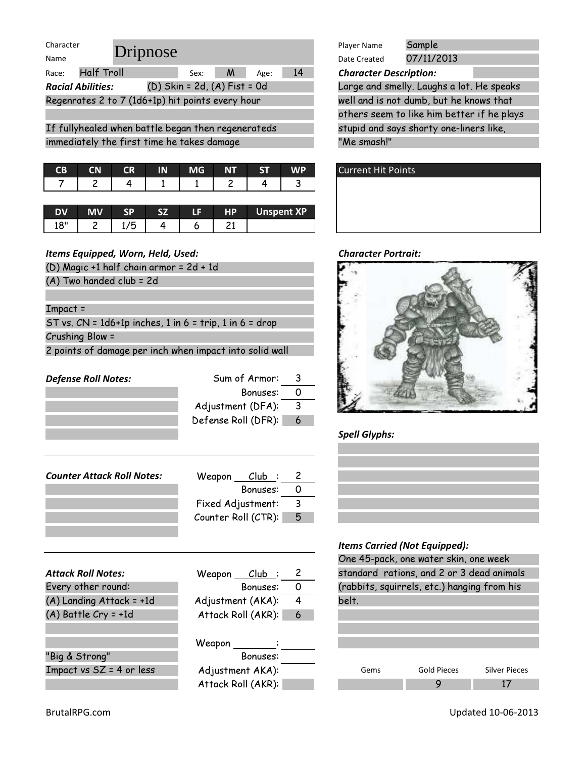| Character                                                 | Dripnose               |                              |           |                   |           | Player Name                   | Sample  |
|-----------------------------------------------------------|------------------------|------------------------------|-----------|-------------------|-----------|-------------------------------|---------|
| Name                                                      |                        |                              |           |                   |           | Date Created                  | 07/11/3 |
| <b>Half Troll</b><br>Race:                                |                        | Sex:                         | M         | Age:              | 14        | <b>Character Description:</b> |         |
| <b>Racial Abilities:</b>                                  |                        | (D) Skin = 2d, (A) Fist = 0d |           |                   |           | Large and smelly. Laug        |         |
| Regenrates 2 to 7 (1d6+1p) hit points every hour          |                        |                              |           |                   |           | well and is not dumb, b       |         |
|                                                           |                        |                              |           |                   |           | others seem to like hir       |         |
| If fullyhealed when battle began then regenerateds        |                        |                              |           |                   |           | stupid and says shorty        |         |
| immediately the first time he takes damage                |                        |                              |           |                   |           | "Me smash!"                   |         |
|                                                           |                        |                              |           |                   |           |                               |         |
| CB<br><b>CN</b>                                           | <b>CR</b><br>IN        | <b>MG</b>                    | <b>NT</b> | <b>ST</b>         | <b>WP</b> | <b>Current Hit Points</b>     |         |
| 2<br>7                                                    | 1<br>4                 | 1                            | 2         | 4                 | 3         |                               |         |
|                                                           |                        |                              |           |                   |           |                               |         |
| <b>MV</b><br><b>DV</b>                                    | <b>SP</b><br><b>SZ</b> | LF                           | <b>HP</b> | <b>Unspent XP</b> |           |                               |         |
| 18"<br>2                                                  | 1/5<br>4               | 6                            | 21        |                   |           |                               |         |
|                                                           |                        |                              |           |                   |           |                               |         |
| Items Equipped, Worn, Held, Used:                         |                        |                              |           |                   |           | <b>Character Portrait:</b>    |         |
| (D) Magic +1 half chain armor = 2d + 1d                   |                        |                              |           |                   |           |                               |         |
| (A) Two handed club = 2d                                  |                        |                              |           |                   |           |                               |         |
|                                                           |                        |                              |           |                   |           |                               |         |
| $Import =$                                                |                        |                              |           |                   |           |                               |         |
| ST vs. $CN = 1d6+1p$ inches, 1 in 6 = trip, 1 in 6 = drop |                        |                              |           |                   |           |                               |         |
| Crushing Blow =                                           |                        |                              |           |                   |           |                               |         |
| 2 points of damage per inch when impact into solid wall   |                        |                              |           |                   |           |                               |         |
|                                                           |                        |                              |           |                   |           |                               |         |

Defense Roll Notes: Sum of Armor: 3 Bonuses: 0 Adjustment (DFA): 3 Defense Roll (DFR): 6 Counter Attack Roll Notes: Weapon Club: 2 Bonuses: 0 Fixed Adjustment: 3 Counter Roll ( $CTR$ ):  $\boxed{5}$ Attack Roll Notes: Weapon Club : 2 Bonuses: 0 Adjustment (AKA): 4 Attack Roll (AKR): 6 Weapon : Bonuses: Adjustment AKA): Attack Roll (AKR): "Big & Strong" Impact vs  $SZ = 4$  or less Every other round:  $(A)$  Landing Attack = +1d (A) Battle Cry = +1d

Player Name Date Created **Character Description:** others seem to like him better if he plays stupid and says shorty one-liners like, "Me smash!" Large and smelly. Laughs a lot. He speaks well and is not dumb, but he knows that 07/11/2013



#### **Character Portrait:**







|       | One 45-pack, one water skin, one week       |                      |  |  |  |  |  |
|-------|---------------------------------------------|----------------------|--|--|--|--|--|
|       | standard rations, and 2 or 3 dead animals   |                      |  |  |  |  |  |
|       | (rabbits, squirrels, etc.) hanging from his |                      |  |  |  |  |  |
| belt. |                                             |                      |  |  |  |  |  |
|       |                                             |                      |  |  |  |  |  |
|       |                                             |                      |  |  |  |  |  |
|       |                                             |                      |  |  |  |  |  |
|       |                                             |                      |  |  |  |  |  |
| Gems  | Gold Pieces                                 | <b>Silver Pieces</b> |  |  |  |  |  |
|       |                                             |                      |  |  |  |  |  |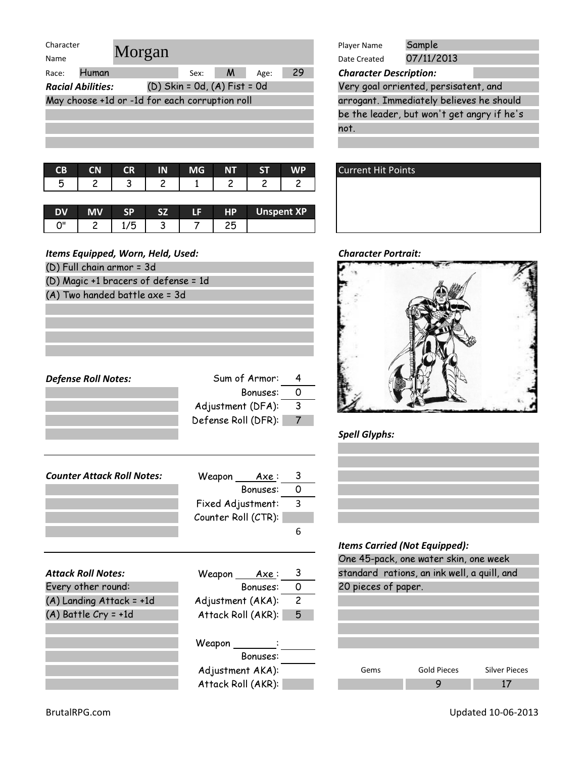| Character                                                    |        |           |      |    | Player Name                           | Sample                                     |  |
|--------------------------------------------------------------|--------|-----------|------|----|---------------------------------------|--------------------------------------------|--|
| Name                                                         | Morgan |           |      |    | Date Created                          | 07/11/2013                                 |  |
| Race:                                                        | Human  | M<br>Sex: | Age: | 29 | <b>Character Description:</b>         |                                            |  |
| $(D)$ Skin = Od, $(A)$ Fist = Od<br><b>Racial Abilities:</b> |        |           |      |    | Very goal orriented, persisatent, and |                                            |  |
| May choose +1d or -1d for each corruption roll               |        |           |      |    |                                       | arrogant. Immediately believes he should   |  |
|                                                              |        |           |      |    |                                       | be the leader, but won't get angry if he's |  |
|                                                              |        |           |      |    | $n - +$                               |                                            |  |

| <b>CB CN CR IN</b> |  | $\blacksquare$ MG $\blacksquare$ | <b>WILLIAMSTAL</b> |  |
|--------------------|--|----------------------------------|--------------------|--|
|                    |  |                                  |                    |  |

| DV | МV |     |   | тв | <b>HP</b> | Unspent XP |
|----|----|-----|---|----|-----------|------------|
| יי |    | ر ، | - |    |           |            |

Defense Roll Notes: Sum of Armor: 4

Bonuses: 0

Adjustment (DFA): 3 Defense Roll (DFR): 7

### Items Equipped, Worn, Held, Used: Character Portrait:

| (D) Full chain armor = 3d            |  |
|--------------------------------------|--|
| (D) Magic +1 bracers of defense = 1d |  |

(A) Two handed battle axe = 3d

| ran                            | Sample<br>Player Name<br>07/11/2013<br>Date Created |  |  |  |  |
|--------------------------------|-----------------------------------------------------|--|--|--|--|
| 29<br><b>M</b><br>Sex:<br>Age: | <b>Character Description:</b>                       |  |  |  |  |
| (D) Skin = 0d, (A) Fist = 0d   | Very goal orriented, persisatent, and               |  |  |  |  |
| for each corruption roll       | arrogant. Immediately believes he should            |  |  |  |  |
|                                | be the leader, but won't get angry if he's          |  |  |  |  |
|                                | not.                                                |  |  |  |  |
|                                |                                                     |  |  |  |  |





Spell Glyphs:

| <b>Attack Roll Notes:</b>  | Weapon<br>Axe :     |                         |  |
|----------------------------|---------------------|-------------------------|--|
|                            |                     | 6                       |  |
|                            | Counter Roll (CTR): |                         |  |
|                            | Fixed Adjustment:   | 3                       |  |
|                            | Bonuses:            | - 0                     |  |
| Counter Attack Roll Notes: | Weapon Axe:         | $\overline{\mathbf{3}}$ |  |

| <b>Attack Roll Notes:</b> | Weapon<br><u>Axe</u> : | -3             | standard rations, a |   |
|---------------------------|------------------------|----------------|---------------------|---|
| Every other round:        | Bonuses:               | 0              | 20 pieces of paper. |   |
| (A) Landing Attack = +1d  | Adjustment (AKA):      | $\overline{c}$ |                     |   |
| $(A)$ Battle Cry = +1d    | Attack Roll (AKR):     | 5              |                     |   |
|                           | Weapon                 |                |                     |   |
|                           | Bonuses:               |                |                     |   |
|                           | Adjustment AKA):       |                | Gems                | G |
|                           | Attack Roll (AKR):     |                |                     |   |

# Items Carried (Not Equipped):

| One 45-pack, one water skin, one week       |                    |                      |  |  |  |  |  |  |
|---------------------------------------------|--------------------|----------------------|--|--|--|--|--|--|
| standard rations, an ink well, a quill, and |                    |                      |  |  |  |  |  |  |
| 20 pieces of paper.                         |                    |                      |  |  |  |  |  |  |
|                                             |                    |                      |  |  |  |  |  |  |
|                                             |                    |                      |  |  |  |  |  |  |
|                                             |                    |                      |  |  |  |  |  |  |
|                                             |                    |                      |  |  |  |  |  |  |
|                                             |                    |                      |  |  |  |  |  |  |
| Gems                                        | <b>Gold Pieces</b> | <b>Silver Pieces</b> |  |  |  |  |  |  |
|                                             |                    |                      |  |  |  |  |  |  |

I.

BrutalRPG.com Updated 10-06-2013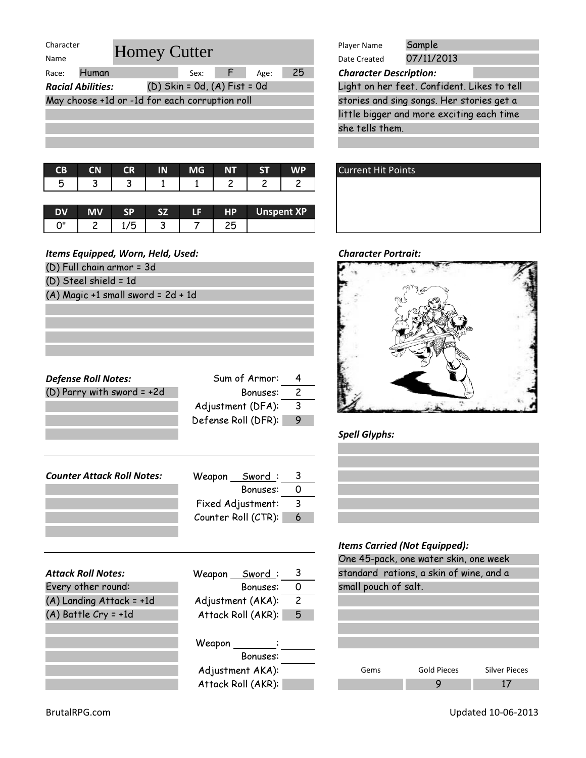| Character<br><b>Homey Cutter</b>               |  |                                  |      | Player Name | Sample                        |                                           |  |
|------------------------------------------------|--|----------------------------------|------|-------------|-------------------------------|-------------------------------------------|--|
| Name                                           |  |                                  |      |             | Date Created                  | 07/11/2013                                |  |
| Human<br>Race:                                 |  | Sex:                             | Age: | 25          | <b>Character Description:</b> |                                           |  |
| <b>Racial Abilities:</b>                       |  | $(D)$ Skin = 0d, $(A)$ Fist = 0d |      |             |                               | Light on her feet. Confident. Likes to te |  |
| May choose +1d or -1d for each corruption roll |  |                                  |      |             |                               | stories and sing songs. Her stories get a |  |
|                                                |  |                                  |      |             |                               | little bigger and more exciting each time |  |
|                                                |  |                                  |      |             | she tells them.               |                                           |  |
|                                                |  |                                  |      |             |                               |                                           |  |

| CB CN CR IN MG NT ST WP |  |  |                               |
|-------------------------|--|--|-------------------------------|
|                         |  |  | 5   3   3   1   1   2   2   2 |
|                         |  |  |                               |

|    |   | sв | C <sub>7</sub> | IΕ | HP. | <b>Unspent XP</b> |
|----|---|----|----------------|----|-----|-------------------|
| יי | ∽ |    | -<br>◡         |    |     |                   |

- (D) Full chain armor = 3d
- (D) Steel shield = 1d
- (A) Magic +1 small sword = 2d + 1d

| <b>Defense Roll Notes:</b><br>(D) Parry with sword = +2d | Sum of Armor:<br>Bonuses:<br>Adjustment (DFA):<br>Defense Roll (DFR): | 4<br>$\overline{c}$<br>$\mathbf{3}$<br>9 |
|----------------------------------------------------------|-----------------------------------------------------------------------|------------------------------------------|
|                                                          |                                                                       |                                          |
| <b>Counter Attack Roll Notes:</b>                        | Weapon Sword:                                                         | 3                                        |
|                                                          | Bonuses:                                                              | 0                                        |
|                                                          | Fixed Adjustment:                                                     | 3                                        |
|                                                          | Counter Roll (CTR):                                                   | 6                                        |
|                                                          |                                                                       |                                          |
| <b>Attack Roll Notes:</b>                                | Weapon Sword                                                          | 3                                        |

| ALLUCK KOII INDLES:      | vv eapon<br>swora : |                | Sidriadia rations, c |
|--------------------------|---------------------|----------------|----------------------|
| Every other round:       | Bonuses:            | 0              | small pouch of salt. |
| (A) Landing Attack = +1d | Adjustment (AKA):   | $\overline{c}$ |                      |
| $(A)$ Battle Cry = +1d   | Attack Roll (AKR):  | 5              |                      |
|                          |                     |                |                      |
|                          | Weapon              |                |                      |
|                          | Bonuses:            |                |                      |
|                          | Adjustment AKA):    |                | G<br>Gems            |
|                          | Attack Roll (AKR):  |                |                      |
|                          |                     |                |                      |

|        | Weapon Sword:      | 3 |
|--------|--------------------|---|
|        | Bonuses:           | 0 |
|        | Adjustment (AKA):  | 2 |
|        | Attack Roll (AKR): | 5 |
| Weapon |                    |   |
|        | Bonuses:           |   |
|        | Adjustment AKA):   |   |

|                              | Sample<br>Player Name                       |
|------------------------------|---------------------------------------------|
| ey Cutter                    | 07/11/2013<br>Date Created                  |
| 25<br>Sex: $F$<br>Age:       | <b>Character Description:</b>               |
| (D) Skin = 0d, (A) Fist = 0d | Light on her feet. Confident. Likes to tell |
| for each corruption roll     | stories and sing songs. Her stories get a   |
|                              | little bigger and more exciting each time   |
|                              | she tells them.                             |
|                              |                                             |





# Spell Glyphs:

| One 45-pack, one water skin, one week |                                         |                      |  |  |  |  |  |  |
|---------------------------------------|-----------------------------------------|----------------------|--|--|--|--|--|--|
|                                       | standard rations, a skin of wine, and a |                      |  |  |  |  |  |  |
| small pouch of salt.                  |                                         |                      |  |  |  |  |  |  |
|                                       |                                         |                      |  |  |  |  |  |  |
|                                       |                                         |                      |  |  |  |  |  |  |
|                                       |                                         |                      |  |  |  |  |  |  |
|                                       |                                         |                      |  |  |  |  |  |  |
|                                       |                                         |                      |  |  |  |  |  |  |
| Gems                                  | Gold Pieces                             | <b>Silver Pieces</b> |  |  |  |  |  |  |
|                                       |                                         |                      |  |  |  |  |  |  |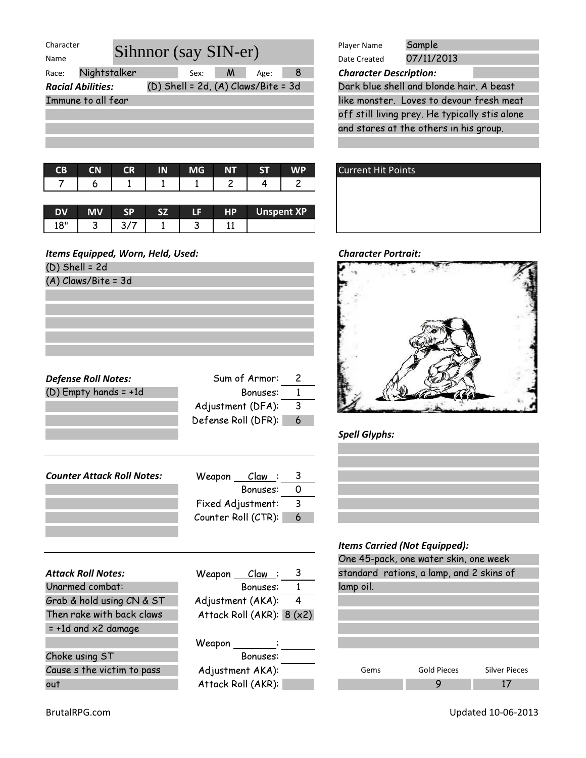| Character                |                      |                                         |                            | Player Name | Sample |                               |                                                |  |
|--------------------------|----------------------|-----------------------------------------|----------------------------|-------------|--------|-------------------------------|------------------------------------------------|--|
| Name                     | Sihnnor (say SIN-er) |                                         | 07/11/2013<br>Date Created |             |        |                               |                                                |  |
| Race:                    | Nightstalker         | Sex:                                    | M                          | Age:        | 8      | <b>Character Description:</b> |                                                |  |
| <b>Racial Abilities:</b> |                      | $(D)$ Shell = 2d, $(A)$ Claws/Bite = 3d |                            |             |        |                               | Dark blue shell and blonde hair. A beast       |  |
| Immune to all fear       |                      |                                         |                            |             |        |                               | like monster. Loves to devour fresh meat       |  |
|                          |                      |                                         |                            |             |        |                               | off still living prey. He typically stis alone |  |

|  | CB CN CR IN | MG | $NT$ ST $T$ | WP |
|--|-------------|----|-------------|----|
|  |             |    |             |    |

|            |   |  | I E | <b>HP</b> | <b>Unspent XP</b> |
|------------|---|--|-----|-----------|-------------------|
| $^{\circ}$ | ت |  | w   |           |                   |

(D) Shell = 2d (A) Claws/Bite = 3d

Defense Roll Notes: Sum of Armor: 2 (D) Empty hands = +1d Bonuses:  $\overline{1}$ Adjustment  $(DFA):$  3 Defense Roll (DFR): 6

| <b>Counter Attack Roll Notes:</b> | Weapon<br><u> Claw :</u> |    |
|-----------------------------------|--------------------------|----|
|                                   | Bonuses:                 |    |
|                                   | Fixed Adjustment:        | -3 |
|                                   | Counter Roll (CTR):      | -6 |
|                                   |                          |    |

|                               |                                          |           | One to pack, one ward bill, one week     |                      |
|-------------------------------|------------------------------------------|-----------|------------------------------------------|----------------------|
| <b>Attack Roll Notes:</b>     | <u> Claw :</u> 3<br>Weapon               |           | standard rations, a lamp, and 2 skins of |                      |
| Unarmed combat:               | Bonuses:                                 | lamp oil. |                                          |                      |
| Grab & hold using CN & ST     | Adjustment (AKA):<br>4                   |           |                                          |                      |
| Then rake with back claws     | Attack Roll (AKR): 8 (x2)                |           |                                          |                      |
| $= +1d$ and $\times 2$ damage |                                          |           |                                          |                      |
|                               | $Weapon \nightharpoonup \nightharpoonup$ |           |                                          |                      |
| Choke using ST                | Bonuses:                                 |           |                                          |                      |
| Cause s the victim to pass    | Adjustment AKA):                         | Gems      | <b>Gold Pieces</b>                       | <b>Silver Pieces</b> |
| $\sim$ $+$                    | $A++a2$ Dall $(AVD)$                     |           | O                                        | 17                   |

|                                         | Sample                                         |  |  |  |  |
|-----------------------------------------|------------------------------------------------|--|--|--|--|
|                                         | Player Name                                    |  |  |  |  |
| nor (say SIN-er)                        | 07/11/2013<br>Date Created                     |  |  |  |  |
| -81<br>M<br>Sex:<br>Age:                | <b>Character Description:</b>                  |  |  |  |  |
| $(D)$ Shell = 2d, $(A)$ Claws/Bite = 3d | Dark blue shell and blonde hair. A beast       |  |  |  |  |
|                                         | like monster. Loves to devour fresh meat       |  |  |  |  |
|                                         | off still living prey. He typically stis alone |  |  |  |  |
|                                         | and stares at the others in his group.         |  |  |  |  |
|                                         |                                                |  |  |  |  |





# Spell Glyphs:



|                               |                            |                |           | One 45-pack, one water skin, one week    |                      |
|-------------------------------|----------------------------|----------------|-----------|------------------------------------------|----------------------|
| <b>Attack Roll Notes:</b>     | <u> Claw</u> : 3<br>Weapon |                |           | standard rations, a lamp, and 2 skins of |                      |
| Unarmed combat:               | Bonuses:                   |                | lamp oil. |                                          |                      |
| Grab & hold using CN & ST     | Adjustment (AKA):          | $\overline{4}$ |           |                                          |                      |
| Then rake with back claws     | Attack Roll (AKR): $8(x2)$ |                |           |                                          |                      |
| $= +1d$ and $\times 2$ damage |                            |                |           |                                          |                      |
|                               |                            |                |           |                                          |                      |
| Choke using ST                | Bonuses:                   |                |           |                                          |                      |
| Cause s the victim to pass    | Adjustment AKA):           |                | Gems      | <b>Gold Pieces</b>                       | <b>Silver Pieces</b> |
| out                           | Attack Roll (AKR):         |                |           | 9                                        | 17                   |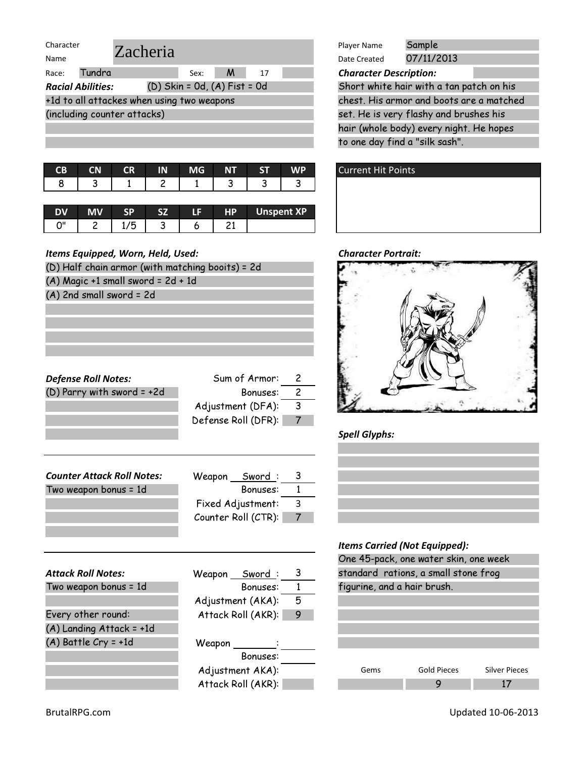| Character                                  |                                  | Sample<br>Player Name         |
|--------------------------------------------|----------------------------------|-------------------------------|
| Zacheria<br>Name                           |                                  | 07/11/2013<br>Date Created    |
| Tundra<br>Race:                            | M<br>17<br>Sex:                  | <b>Character Description:</b> |
| <b>Racial Abilities:</b>                   | $(D)$ Skin = 0d, $(A)$ Fist = 0d | Short white hair with a tar   |
| +1d to all attackes when using two weapons |                                  | chest. His armor and boots    |
| (including counter attacks)                |                                  | set. He is very flashy and b  |
|                                            |                                  | hair (whole body) every nig   |

| CB CN CR IN MG NT ST |  |  | <b>WP</b>                     |
|----------------------|--|--|-------------------------------|
|                      |  |  | 8   3   1   2   1   3   3   3 |
|                      |  |  |                               |

|     |   | æ      | е | HD | <b>Unspent XP</b> |
|-----|---|--------|---|----|-------------------|
| יימ | ب | -<br>w |   |    |                   |

| Items Equipped, Worn, Held, Used:                |                     | <b>Character Portrait:</b> |                                   |
|--------------------------------------------------|---------------------|----------------------------|-----------------------------------|
| (D) Half chain armor (with matching booits) = 2d |                     |                            |                                   |
| $(A)$ Magic +1 small sword = 2d + 1d             |                     |                            |                                   |
| $(A)$ 2nd small sword = 2d                       |                     |                            |                                   |
|                                                  |                     |                            |                                   |
|                                                  |                     |                            |                                   |
|                                                  |                     |                            |                                   |
|                                                  |                     |                            |                                   |
|                                                  |                     |                            |                                   |
| <b>Defense Roll Notes:</b>                       | Sum of Armor:       | $\overline{c}$             |                                   |
| $(D)$ Parry with sword = +2d                     | Bonuses:            | $\overline{c}$             |                                   |
|                                                  | Adjustment (DFA):   | $\overline{3}$             |                                   |
|                                                  | Defense Roll (DFR): | $\overline{7}$             |                                   |
|                                                  |                     |                            | <b>Spell Glyphs:</b>              |
|                                                  |                     |                            |                                   |
|                                                  |                     |                            |                                   |
| <b>Counter Attack Roll Notes:</b>                | Weapon Sword:       | 3                          |                                   |
| Two weapon bonus = 1d                            | Bonuses:            | $\overline{1}$             |                                   |
|                                                  | Fixed Adjustment:   | 3                          |                                   |
|                                                  | Counter Roll (CTR): | 7                          |                                   |
|                                                  |                     |                            |                                   |
|                                                  |                     |                            | <b>Items Carried (Not Equippe</b> |
|                                                  |                     |                            | One 45-pack, one water sl         |
| <b>Attack Roll Notes:</b>                        | Weapon Sword:       | 3                          | standard rations, a small         |
| Two weapon bonus = 1d                            | Bonuses:            | $\mathbf{1}$               | figurine, and a hair brush.       |
|                                                  | Adjustment (AKA):   | 5                          |                                   |
| Every other round:                               | Attack Roll (AKR):  | 9                          |                                   |
| (A) Landing Attack = +1d                         |                     |                            |                                   |

Weapon \_

Bonuses:

Adjustment AKA): Attack Roll (AKR):

| Player Name                                         | Sample     |  |  |  |
|-----------------------------------------------------|------------|--|--|--|
| Date Created                                        | 07/11/2013 |  |  |  |
| <b>Character Description:</b>                       |            |  |  |  |
| $\epsilon$ is the latter of the state of $\epsilon$ |            |  |  |  |

set. He is very flashy and brushes his hair (whole body) every night. He hopes to one day find a "silk sash". Short white hair with a tan patch on his chest. His armor and boots are a matched



### **Character Portrait:**



# Spell Glyphs:



# Items Carried (Not Equipped):

| <i>Renis</i> carried (Not Equipped).  |                    |                      |  |  |  |
|---------------------------------------|--------------------|----------------------|--|--|--|
| One 45-pack, one water skin, one week |                    |                      |  |  |  |
| standard rations, a small stone frog  |                    |                      |  |  |  |
| figurine, and a hair brush.           |                    |                      |  |  |  |
|                                       |                    |                      |  |  |  |
|                                       |                    |                      |  |  |  |
|                                       |                    |                      |  |  |  |
|                                       |                    |                      |  |  |  |
|                                       |                    |                      |  |  |  |
| Gems                                  | <b>Gold Pieces</b> | <b>Silver Pieces</b> |  |  |  |
|                                       |                    |                      |  |  |  |

(A) Battle Cry = +1d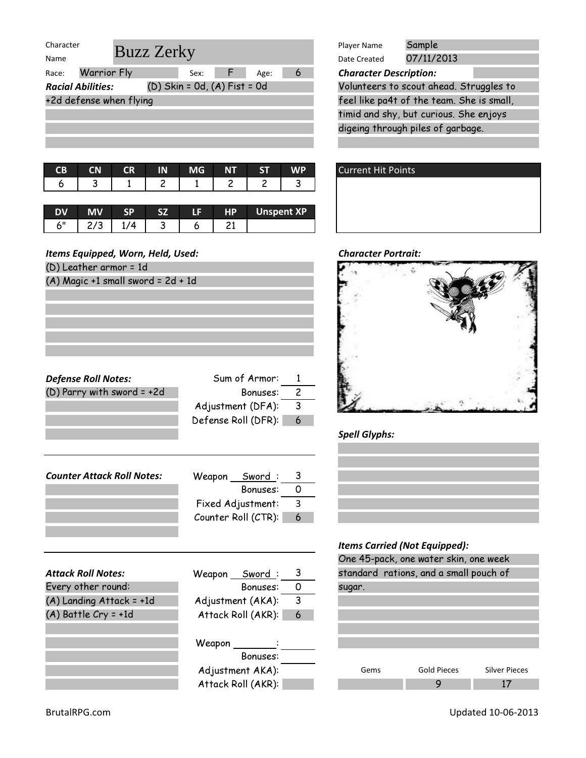| Character                |                         |                                  |   | Player Name                   | Sample                                    |  |
|--------------------------|-------------------------|----------------------------------|---|-------------------------------|-------------------------------------------|--|
| Name                     | <b>Buzz Zerky</b>       |                                  |   | Date Created                  | 07/11/2013                                |  |
| Race:                    | <b>Warrior Fly</b>      | F<br>Age:<br>Sex:                | 6 | <b>Character Description:</b> |                                           |  |
| <b>Racial Abilities:</b> |                         | $(D)$ Skin = 0d, $(A)$ Fist = 0d |   |                               | Volunteers to scout ahead. Struggles to   |  |
|                          | +2d defense when flying |                                  |   |                               | feel like pa4t of the team. She is small, |  |
|                          |                         |                                  |   |                               | timid and shy, but curious. She enjoys    |  |
|                          |                         |                                  |   |                               | digeing through piles of garbage.         |  |
|                          |                         |                                  |   |                               |                                           |  |

| 6   3   1   2   1   2   2   3 | CB CN CR IN MG NT ST WP |  |  |  |
|-------------------------------|-------------------------|--|--|--|
|                               |                         |  |  |  |

|      |  | C7 | 1 E I | HP | <b>Unspent XP</b> |
|------|--|----|-------|----|-------------------|
| اا ح |  |    |       |    |                   |

(D) Leather armor = 1d (A) Magic +1 small sword = 2d + 1d

Defense Roll Notes: Sum of Armor: 1 (D) Parry with sword =  $+2d$  Bonuses:  $\overline{2}$ Adjustment  $(DFA):$  3 Defense Roll (DFR): 6

| <b>Counter Attack Roll Notes:</b> | Sword :<br>Weapon   |    |
|-----------------------------------|---------------------|----|
|                                   | Bonuses:            |    |
|                                   | Fixed Adjustment:   | -3 |
|                                   | Counter Roll (CTR): | 6  |
|                                   |                     |    |

|                           |                    |   | ד שווט |
|---------------------------|--------------------|---|--------|
| <b>Attack Roll Notes:</b> | Weapon Sword:      | 3 | stando |
| Every other round:        | Bonuses:           | 0 | sugar. |
| (A) Landing Attack = +1d  | Adjustment (AKA):  | 3 |        |
| $(A)$ Battle Cry = +1d    | Attack Roll (AKR): | 6 |        |
|                           |                    |   |        |
|                           | Weapon :           |   |        |
|                           | Bonuses:           |   |        |
|                           | Adjustment AKA):   |   | G      |
|                           | Attack Roll (AKR): |   |        |

|                              | Sample<br>Player Name                     |
|------------------------------|-------------------------------------------|
| <i>z</i> Zerky               | 07/11/2013<br>Date Created                |
| Sex: $F$<br>Age:<br>6        | <b>Character Description:</b>             |
| (D) Skin = 0d, (A) Fist = 0d | Volunteers to scout ahead. Struggles to   |
| q                            | feel like pa4t of the team. She is small, |
|                              | timid and shy, but curious. She enjoys    |
|                              | digeing through piles of garbage.         |
|                              |                                           |





# Spell Glyphs:



|        | One 45-pack, one water skin, one week  |                      |
|--------|----------------------------------------|----------------------|
|        | standard rations, and a small pouch of |                      |
| sugar. |                                        |                      |
|        |                                        |                      |
|        |                                        |                      |
|        |                                        |                      |
|        |                                        |                      |
|        |                                        |                      |
| Gems   | <b>Gold Pieces</b>                     | <b>Silver Pieces</b> |
|        |                                        |                      |